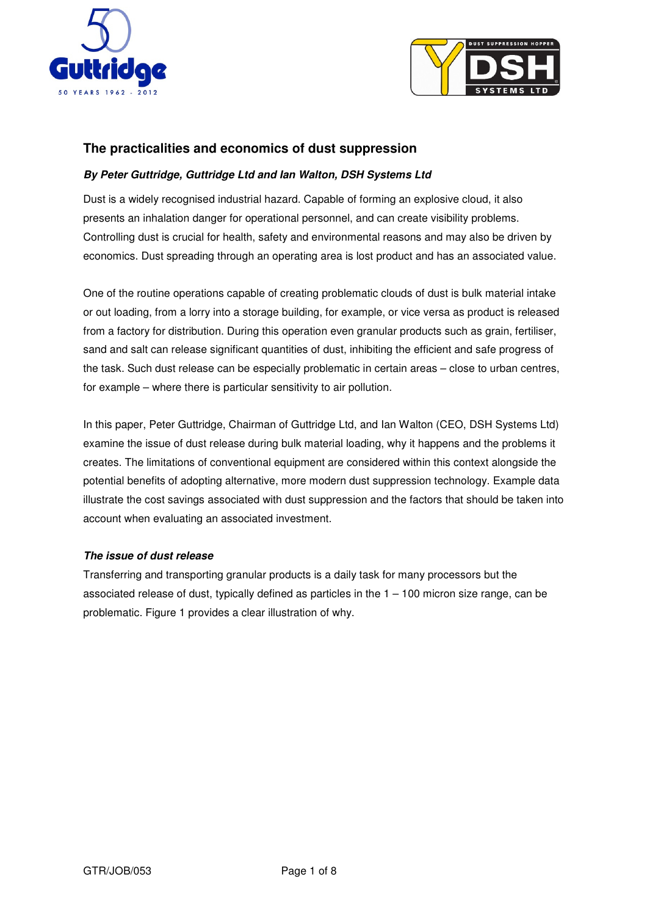



# **The practicalities and economics of dust suppression**

### **By Peter Guttridge, Guttridge Ltd and Ian Walton, DSH Systems Ltd**

Dust is a widely recognised industrial hazard. Capable of forming an explosive cloud, it also presents an inhalation danger for operational personnel, and can create visibility problems. Controlling dust is crucial for health, safety and environmental reasons and may also be driven by economics. Dust spreading through an operating area is lost product and has an associated value.

One of the routine operations capable of creating problematic clouds of dust is bulk material intake or out loading, from a lorry into a storage building, for example, or vice versa as product is released from a factory for distribution. During this operation even granular products such as grain, fertiliser, sand and salt can release significant quantities of dust, inhibiting the efficient and safe progress of the task. Such dust release can be especially problematic in certain areas – close to urban centres, for example – where there is particular sensitivity to air pollution.

In this paper, Peter Guttridge, Chairman of Guttridge Ltd, and Ian Walton (CEO, DSH Systems Ltd) examine the issue of dust release during bulk material loading, why it happens and the problems it creates. The limitations of conventional equipment are considered within this context alongside the potential benefits of adopting alternative, more modern dust suppression technology. Example data illustrate the cost savings associated with dust suppression and the factors that should be taken into account when evaluating an associated investment.

### **The issue of dust release**

Transferring and transporting granular products is a daily task for many processors but the associated release of dust, typically defined as particles in the  $1 - 100$  micron size range, can be problematic. Figure 1 provides a clear illustration of why.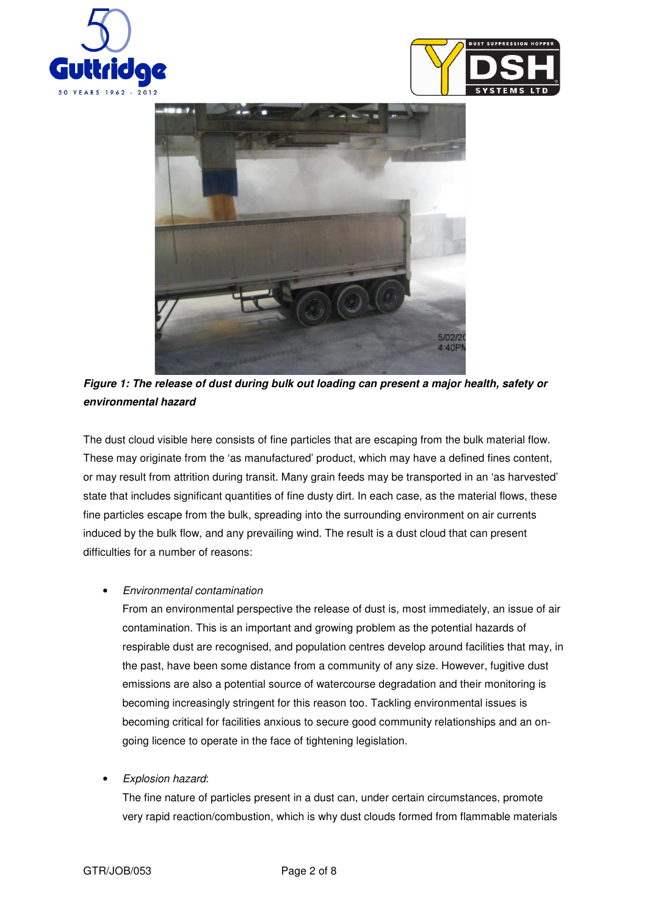





**Figure 1: The release of dust during bulk out loading can present a major health, safety or environmental hazard** 

The dust cloud visible here consists of fine particles that are escaping from the bulk material flow. These may originate from the 'as manufactured' product, which may have a defined fines content, or may result from attrition during transit. Many grain feeds may be transported in an 'as harvested' state that includes significant quantities of fine dusty dirt. In each case, as the material flows, these fine particles escape from the bulk, spreading into the surrounding environment on air currents induced by the bulk flow, and any prevailing wind. The result is a dust cloud that can present difficulties for a number of reasons:

• Environmental contamination

From an environmental perspective the release of dust is, most immediately, an issue of air contamination. This is an important and growing problem as the potential hazards of respirable dust are recognised, and population centres develop around facilities that may, in the past, have been some distance from a community of any size. However, fugitive dust emissions are also a potential source of watercourse degradation and their monitoring is becoming increasingly stringent for this reason too. Tackling environmental issues is becoming critical for facilities anxious to secure good community relationships and an ongoing licence to operate in the face of tightening legislation.

**Explosion hazard:** 

The fine nature of particles present in a dust can, under certain circumstances, promote very rapid reaction/combustion, which is why dust clouds formed from flammable materials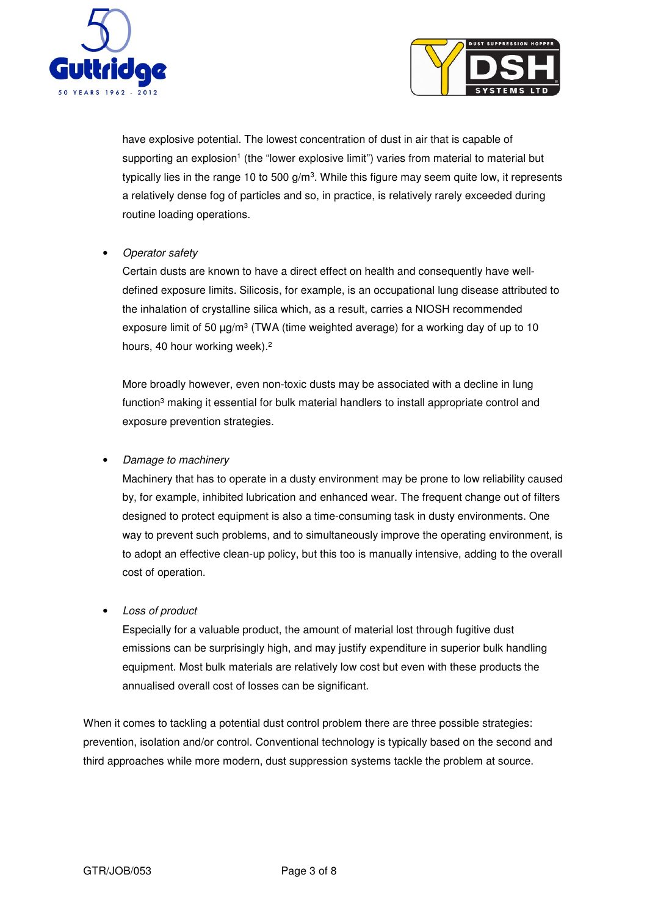



have explosive potential. The lowest concentration of dust in air that is capable of supporting an explosion1 (the "lower explosive limit") varies from material to material but typically lies in the range 10 to 500 g/m<sup>3</sup>. While this figure may seem quite low, it represents a relatively dense fog of particles and so, in practice, is relatively rarely exceeded during routine loading operations.

## • Operator safety

Certain dusts are known to have a direct effect on health and consequently have welldefined exposure limits. Silicosis, for example, is an occupational lung disease attributed to the inhalation of crystalline silica which, as a result, carries a NIOSH recommended exposure limit of 50  $\mu$ g/m<sup>3</sup> (TWA (time weighted average) for a working day of up to 10 hours, 40 hour working week).<sup>2</sup>

More broadly however, even non-toxic dusts may be associated with a decline in lung function<sup>3</sup> making it essential for bulk material handlers to install appropriate control and exposure prevention strategies.

# • Damage to machinery

Machinery that has to operate in a dusty environment may be prone to low reliability caused by, for example, inhibited lubrication and enhanced wear. The frequent change out of filters designed to protect equipment is also a time-consuming task in dusty environments. One way to prevent such problems, and to simultaneously improve the operating environment, is to adopt an effective clean-up policy, but this too is manually intensive, adding to the overall cost of operation.

### • Loss of product

Especially for a valuable product, the amount of material lost through fugitive dust emissions can be surprisingly high, and may justify expenditure in superior bulk handling equipment. Most bulk materials are relatively low cost but even with these products the annualised overall cost of losses can be significant.

When it comes to tackling a potential dust control problem there are three possible strategies: prevention, isolation and/or control. Conventional technology is typically based on the second and third approaches while more modern, dust suppression systems tackle the problem at source.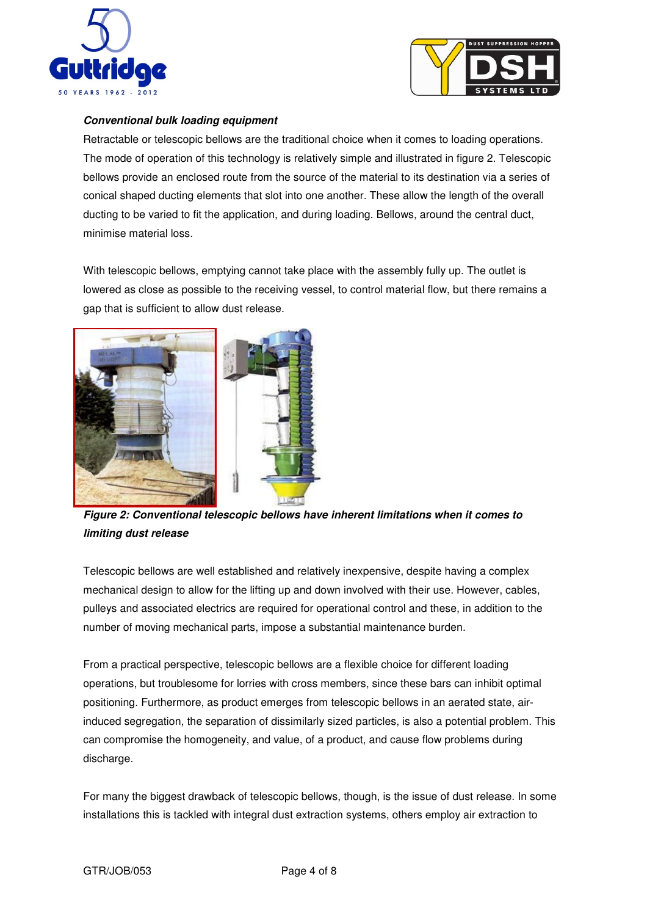



# **Conventional bulk loading equipment**

Retractable or telescopic bellows are the traditional choice when it comes to loading operations. The mode of operation of this technology is relatively simple and illustrated in figure 2. Telescopic bellows provide an enclosed route from the source of the material to its destination via a series of conical shaped ducting elements that slot into one another. These allow the length of the overall ducting to be varied to fit the application, and during loading. Bellows, around the central duct, minimise material loss.

With telescopic bellows, emptying cannot take place with the assembly fully up. The outlet is lowered as close as possible to the receiving vessel, to control material flow, but there remains a gap that is sufficient to allow dust release.



**Figure 2: Conventional telescopic bellows have inherent limitations when it comes to limiting dust release** 

Telescopic bellows are well established and relatively inexpensive, despite having a complex mechanical design to allow for the lifting up and down involved with their use. However, cables, pulleys and associated electrics are required for operational control and these, in addition to the number of moving mechanical parts, impose a substantial maintenance burden.

From a practical perspective, telescopic bellows are a flexible choice for different loading operations, but troublesome for lorries with cross members, since these bars can inhibit optimal positioning. Furthermore, as product emerges from telescopic bellows in an aerated state, airinduced segregation, the separation of dissimilarly sized particles, is also a potential problem. This can compromise the homogeneity, and value, of a product, and cause flow problems during discharge.

For many the biggest drawback of telescopic bellows, though, is the issue of dust release. In some installations this is tackled with integral dust extraction systems, others employ air extraction to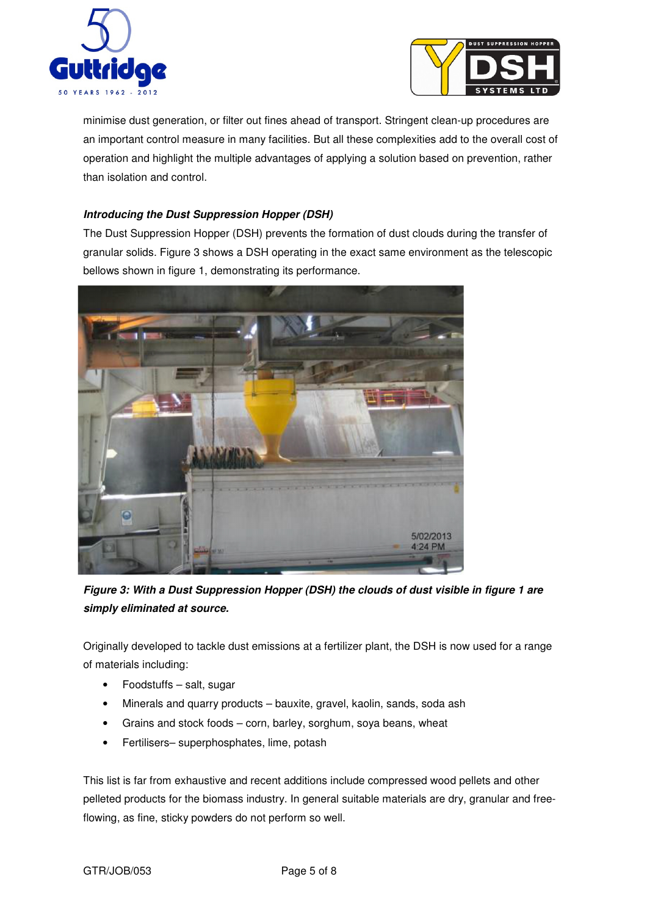



minimise dust generation, or filter out fines ahead of transport. Stringent clean-up procedures are an important control measure in many facilities. But all these complexities add to the overall cost of operation and highlight the multiple advantages of applying a solution based on prevention, rather than isolation and control.

# **Introducing the Dust Suppression Hopper (DSH)**

The Dust Suppression Hopper (DSH) prevents the formation of dust clouds during the transfer of granular solids. Figure 3 shows a DSH operating in the exact same environment as the telescopic bellows shown in figure 1, demonstrating its performance.



**Figure 3: With a Dust Suppression Hopper (DSH) the clouds of dust visible in figure 1 are simply eliminated at source.** 

Originally developed to tackle dust emissions at a fertilizer plant, the DSH is now used for a range of materials including:

- Foodstuffs salt, sugar
- Minerals and quarry products bauxite, gravel, kaolin, sands, soda ash
- Grains and stock foods corn, barley, sorghum, soya beans, wheat
- Fertilisers– superphosphates, lime, potash

This list is far from exhaustive and recent additions include compressed wood pellets and other pelleted products for the biomass industry. In general suitable materials are dry, granular and freeflowing, as fine, sticky powders do not perform so well.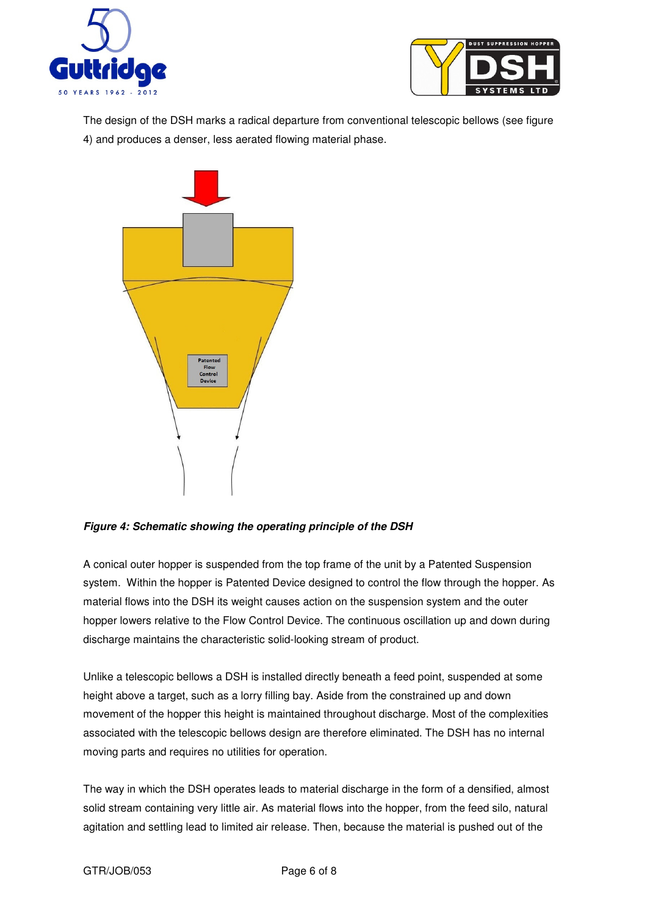



The design of the DSH marks a radical departure from conventional telescopic bellows (see figure 4) and produces a denser, less aerated flowing material phase.



**Figure 4: Schematic showing the operating principle of the DSH** 

A conical outer hopper is suspended from the top frame of the unit by a Patented Suspension system. Within the hopper is Patented Device designed to control the flow through the hopper. As material flows into the DSH its weight causes action on the suspension system and the outer hopper lowers relative to the Flow Control Device. The continuous oscillation up and down during discharge maintains the characteristic solid-looking stream of product.

Unlike a telescopic bellows a DSH is installed directly beneath a feed point, suspended at some height above a target, such as a lorry filling bay. Aside from the constrained up and down movement of the hopper this height is maintained throughout discharge. Most of the complexities associated with the telescopic bellows design are therefore eliminated. The DSH has no internal moving parts and requires no utilities for operation.

The way in which the DSH operates leads to material discharge in the form of a densified, almost solid stream containing very little air. As material flows into the hopper, from the feed silo, natural agitation and settling lead to limited air release. Then, because the material is pushed out of the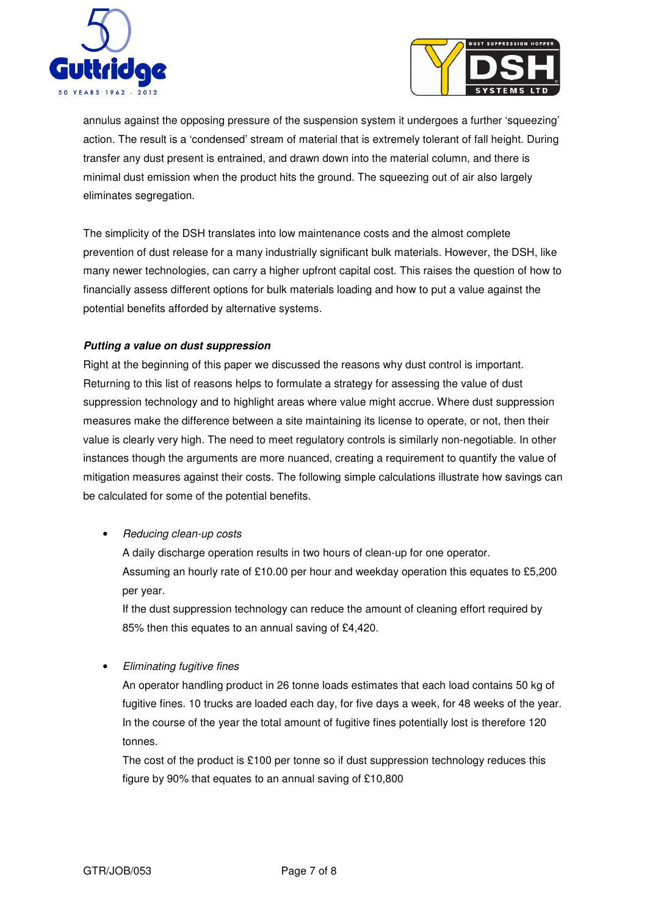



annulus against the opposing pressure of the suspension system it undergoes a further 'squeezing' action. The result is a 'condensed' stream of material that is extremely tolerant of fall height. During transfer any dust present is entrained, and drawn down into the material column, and there is minimal dust emission when the product hits the ground. The squeezing out of air also largely eliminates segregation.

The simplicity of the DSH translates into low maintenance costs and the almost complete prevention of dust release for a many industrially significant bulk materials. However, the DSH, like many newer technologies, can carry a higher upfront capital cost. This raises the question of how to financially assess different options for bulk materials loading and how to put a value against the potential benefits afforded by alternative systems.

## **Putting a value on dust suppression**

Right at the beginning of this paper we discussed the reasons why dust control is important. Returning to this list of reasons helps to formulate a strategy for assessing the value of dust suppression technology and to highlight areas where value might accrue. Where dust suppression measures make the difference between a site maintaining its license to operate, or not, then their value is clearly very high. The need to meet regulatory controls is similarly non-negotiable. In other instances though the arguments are more nuanced, creating a requirement to quantify the value of mitigation measures against their costs. The following simple calculations illustrate how savings can be calculated for some of the potential benefits.

### • Reducing clean-up costs

A daily discharge operation results in two hours of clean-up for one operator. Assuming an hourly rate of £10.00 per hour and weekday operation this equates to £5,200 per year.

If the dust suppression technology can reduce the amount of cleaning effort required by 85% then this equates to an annual saving of £4,420.

# • Eliminating fugitive fines

An operator handling product in 26 tonne loads estimates that each load contains 50 kg of fugitive fines. 10 trucks are loaded each day, for five days a week, for 48 weeks of the year. In the course of the year the total amount of fugitive fines potentially lost is therefore 120 tonnes.

The cost of the product is  $£100$  per tonne so if dust suppression technology reduces this figure by 90% that equates to an annual saving of £10,800